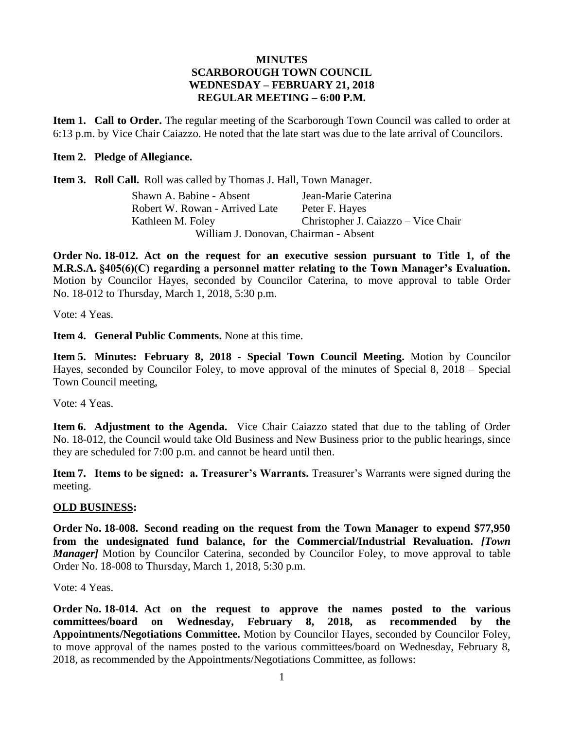## **MINUTES SCARBOROUGH TOWN COUNCIL WEDNESDAY – FEBRUARY 21, 2018 REGULAR MEETING – 6:00 P.M.**

**Item 1. Call to Order.** The regular meeting of the Scarborough Town Council was called to order at 6:13 p.m. by Vice Chair Caiazzo. He noted that the late start was due to the late arrival of Councilors.

## **Item 2. Pledge of Allegiance.**

**Item 3. Roll Call.** Roll was called by Thomas J. Hall, Town Manager.

Shawn A. Babine - Absent Jean-Marie Caterina Robert W. Rowan - Arrived Late Peter F. Hayes Kathleen M. Foley Christopher J. Caiazzo – Vice Chair William J. Donovan, Chairman - Absent

**Order No. 18-012. Act on the request for an executive session pursuant to Title 1, of the M.R.S.A. §405(6)(C) regarding a personnel matter relating to the Town Manager's Evaluation.** Motion by Councilor Hayes, seconded by Councilor Caterina, to move approval to table Order No. 18-012 to Thursday, March 1, 2018, 5:30 p.m.

Vote: 4 Yeas.

**Item 4. General Public Comments.** None at this time.

**Item 5. Minutes: February 8, 2018 - Special Town Council Meeting.** Motion by Councilor Hayes, seconded by Councilor Foley, to move approval of the minutes of Special 8, 2018 – Special Town Council meeting,

Vote: 4 Yeas.

**Item 6. Adjustment to the Agenda.** Vice Chair Caiazzo stated that due to the tabling of Order No. 18-012, the Council would take Old Business and New Business prior to the public hearings, since they are scheduled for 7:00 p.m. and cannot be heard until then.

**Item 7. Items to be signed: a. Treasurer's Warrants.** Treasurer's Warrants were signed during the meeting.

## **OLD BUSINESS:**

**Order No. 18-008. Second reading on the request from the Town Manager to expend \$77,950 from the undesignated fund balance, for the Commercial/Industrial Revaluation.** *[Town Manager]* Motion by Councilor Caterina, seconded by Councilor Foley, to move approval to table Order No. 18-008 to Thursday, March 1, 2018, 5:30 p.m.

Vote: 4 Yeas.

**Order No. 18-014. Act on the request to approve the names posted to the various committees/board on Wednesday, February 8, 2018, as recommended by the Appointments/Negotiations Committee.** Motion by Councilor Hayes, seconded by Councilor Foley, to move approval of the names posted to the various committees/board on Wednesday, February 8, 2018, as recommended by the Appointments/Negotiations Committee, as follows: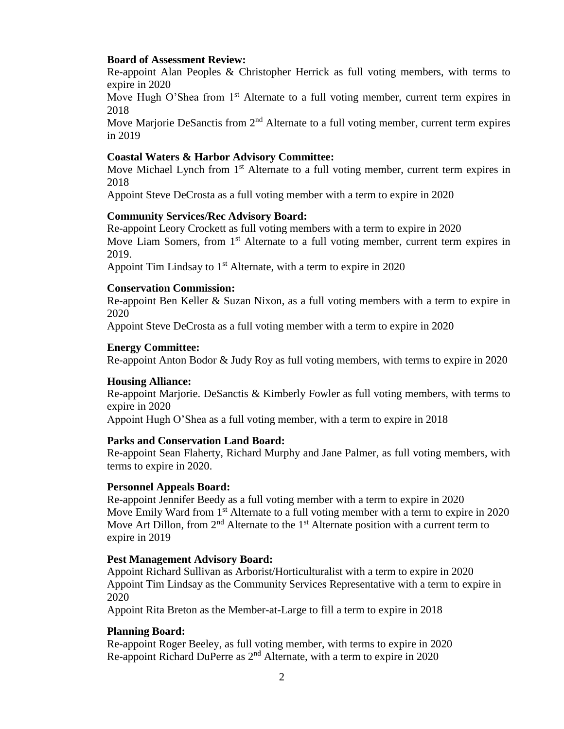#### **Board of Assessment Review:**

Re-appoint Alan Peoples & Christopher Herrick as full voting members, with terms to expire in 2020

Move Hugh O'Shea from 1<sup>st</sup> Alternate to a full voting member, current term expires in 2018

Move Marjorie DeSanctis from  $2<sup>nd</sup>$  Alternate to a full voting member, current term expires in 2019

#### **Coastal Waters & Harbor Advisory Committee:**

Move Michael Lynch from 1<sup>st</sup> Alternate to a full voting member, current term expires in 2018

Appoint Steve DeCrosta as a full voting member with a term to expire in 2020

### **Community Services/Rec Advisory Board:**

Re-appoint Leory Crockett as full voting members with a term to expire in 2020 Move Liam Somers, from 1<sup>st</sup> Alternate to a full voting member, current term expires in 2019.

Appoint Tim Lindsay to  $1<sup>st</sup>$  Alternate, with a term to expire in 2020

#### **Conservation Commission:**

Re-appoint Ben Keller & Suzan Nixon, as a full voting members with a term to expire in 2020

Appoint Steve DeCrosta as a full voting member with a term to expire in 2020

#### **Energy Committee:**

Re-appoint Anton Bodor & Judy Roy as full voting members, with terms to expire in 2020

#### **Housing Alliance:**

Re-appoint Marjorie. DeSanctis & Kimberly Fowler as full voting members, with terms to expire in 2020

Appoint Hugh O'Shea as a full voting member, with a term to expire in 2018

#### **Parks and Conservation Land Board:**

Re-appoint Sean Flaherty, Richard Murphy and Jane Palmer, as full voting members, with terms to expire in 2020.

#### **Personnel Appeals Board:**

Re-appoint Jennifer Beedy as a full voting member with a term to expire in 2020 Move Emily Ward from 1<sup>st</sup> Alternate to a full voting member with a term to expire in 2020 Move Art Dillon, from  $2<sup>nd</sup>$  Alternate to the 1<sup>st</sup> Alternate position with a current term to expire in 2019

#### **Pest Management Advisory Board:**

Appoint Richard Sullivan as Arborist/Horticulturalist with a term to expire in 2020 Appoint Tim Lindsay as the Community Services Representative with a term to expire in 2020

Appoint Rita Breton as the Member-at-Large to fill a term to expire in 2018

#### **Planning Board:**

Re-appoint Roger Beeley, as full voting member, with terms to expire in 2020 Re-appoint Richard DuPerre as 2nd Alternate, with a term to expire in 2020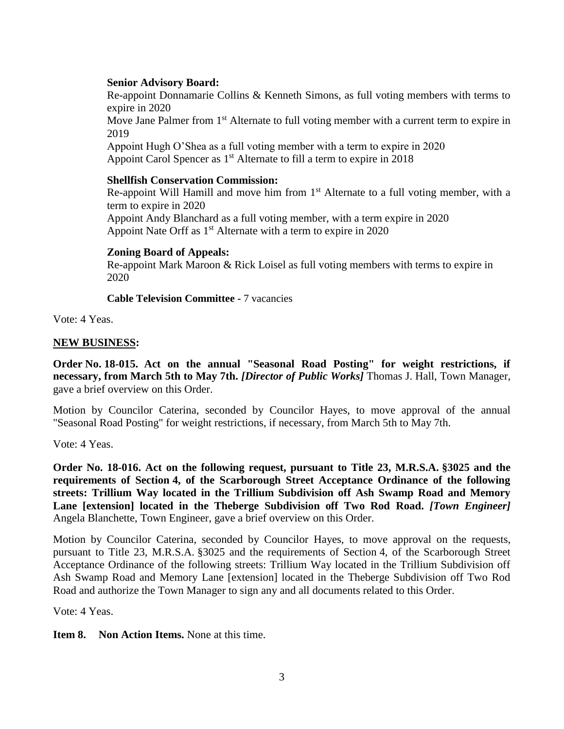## **Senior Advisory Board:**

Re-appoint Donnamarie Collins & Kenneth Simons, as full voting members with terms to expire in 2020

Move Jane Palmer from 1<sup>st</sup> Alternate to full voting member with a current term to expire in 2019

Appoint Hugh O'Shea as a full voting member with a term to expire in 2020 Appoint Carol Spencer as 1<sup>st</sup> Alternate to fill a term to expire in 2018

## **Shellfish Conservation Commission:**

Re-appoint Will Hamill and move him from  $1<sup>st</sup>$  Alternate to a full voting member, with a term to expire in 2020 Appoint Andy Blanchard as a full voting member, with a term expire in 2020

Appoint Nate Orff as 1<sup>st</sup> Alternate with a term to expire in 2020

### **Zoning Board of Appeals:**

Re-appoint Mark Maroon & Rick Loisel as full voting members with terms to expire in 2020

**Cable Television Committee -** 7 vacancies

Vote: 4 Yeas.

### **NEW BUSINESS:**

**Order No. 18-015. Act on the annual "Seasonal Road Posting" for weight restrictions, if necessary, from March 5th to May 7th.** *[Director of Public Works]* Thomas J. Hall, Town Manager, gave a brief overview on this Order.

Motion by Councilor Caterina, seconded by Councilor Hayes, to move approval of the annual "Seasonal Road Posting" for weight restrictions, if necessary, from March 5th to May 7th.

Vote: 4 Yeas.

**Order No. 18-016. Act on the following request, pursuant to Title 23, M.R.S.A. §3025 and the requirements of Section 4, of the Scarborough Street Acceptance Ordinance of the following streets: Trillium Way located in the Trillium Subdivision off Ash Swamp Road and Memory Lane [extension] located in the Theberge Subdivision off Two Rod Road.** *[Town Engineer]* Angela Blanchette, Town Engineer, gave a brief overview on this Order.

Motion by Councilor Caterina, seconded by Councilor Hayes, to move approval on the requests, pursuant to Title 23, M.R.S.A. §3025 and the requirements of Section 4, of the Scarborough Street Acceptance Ordinance of the following streets: Trillium Way located in the Trillium Subdivision off Ash Swamp Road and Memory Lane [extension] located in the Theberge Subdivision off Two Rod Road and authorize the Town Manager to sign any and all documents related to this Order.

Vote: 4 Yeas.

**Item 8. Non Action Items.** None at this time.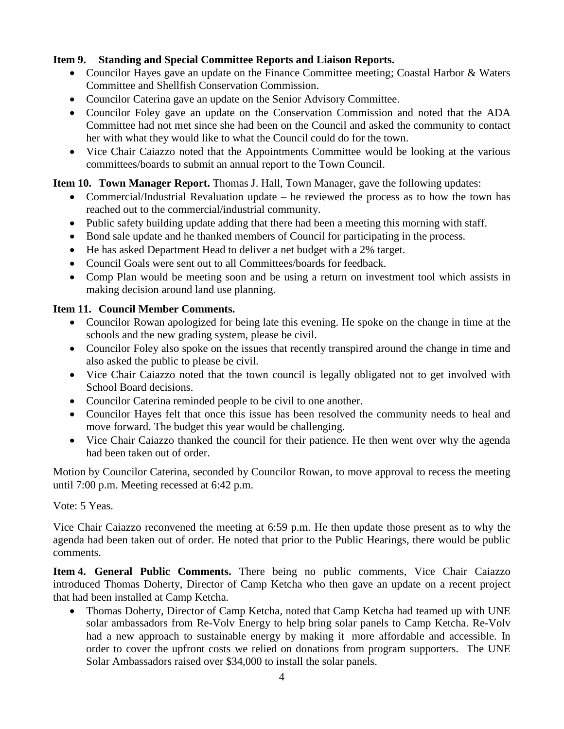# **Item 9. Standing and Special Committee Reports and Liaison Reports.**

- Councilor Hayes gave an update on the Finance Committee meeting; Coastal Harbor & Waters Committee and Shellfish Conservation Commission.
- Councilor Caterina gave an update on the Senior Advisory Committee.
- Councilor Foley gave an update on the Conservation Commission and noted that the ADA Committee had not met since she had been on the Council and asked the community to contact her with what they would like to what the Council could do for the town.
- Vice Chair Caiazzo noted that the Appointments Committee would be looking at the various committees/boards to submit an annual report to the Town Council.

# **Item 10. Town Manager Report.** Thomas J. Hall, Town Manager, gave the following updates:

- Commercial/Industrial Revaluation update he reviewed the process as to how the town has reached out to the commercial/industrial community.
- Public safety building update adding that there had been a meeting this morning with staff.
- Bond sale update and he thanked members of Council for participating in the process.
- He has asked Department Head to deliver a net budget with a 2% target.
- Council Goals were sent out to all Committees/boards for feedback.
- Comp Plan would be meeting soon and be using a return on investment tool which assists in making decision around land use planning.

# **Item 11. Council Member Comments.**

- Councilor Rowan apologized for being late this evening. He spoke on the change in time at the schools and the new grading system, please be civil.
- Councilor Foley also spoke on the issues that recently transpired around the change in time and also asked the public to please be civil.
- Vice Chair Caiazzo noted that the town council is legally obligated not to get involved with School Board decisions.
- Councilor Caterina reminded people to be civil to one another.
- Councilor Hayes felt that once this issue has been resolved the community needs to heal and move forward. The budget this year would be challenging.
- Vice Chair Caiazzo thanked the council for their patience. He then went over why the agenda had been taken out of order.

Motion by Councilor Caterina, seconded by Councilor Rowan, to move approval to recess the meeting until 7:00 p.m. Meeting recessed at 6:42 p.m.

## Vote: 5 Yeas.

Vice Chair Caiazzo reconvened the meeting at 6:59 p.m. He then update those present as to why the agenda had been taken out of order. He noted that prior to the Public Hearings, there would be public comments.

**Item 4. General Public Comments.** There being no public comments, Vice Chair Caiazzo introduced Thomas Doherty, Director of Camp Ketcha who then gave an update on a recent project that had been installed at Camp Ketcha.

 Thomas Doherty, Director of Camp Ketcha, noted that Camp Ketcha had teamed up with UNE solar ambassadors from Re-Volv Energy to help bring solar panels to Camp Ketcha. Re-Volv had a new approach to sustainable energy by making it more affordable and accessible. In order to cover the upfront costs we relied on donations from program supporters. The UNE Solar Ambassadors raised over \$34,000 to install the solar panels.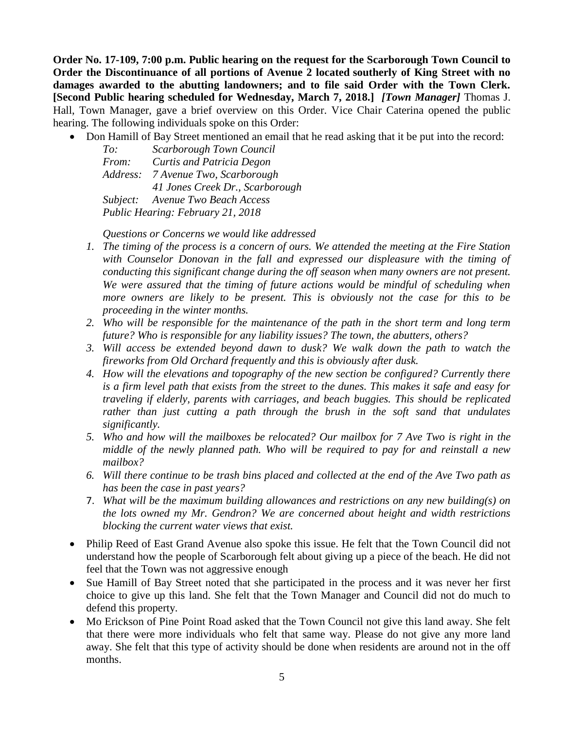**Order No. 17-109, 7:00 p.m. Public hearing on the request for the Scarborough Town Council to Order the Discontinuance of all portions of Avenue 2 located southerly of King Street with no damages awarded to the abutting landowners; and to file said Order with the Town Clerk. [Second Public hearing scheduled for Wednesday, March 7, 2018.]** *[Town Manager]* Thomas J. Hall, Town Manager, gave a brief overview on this Order. Vice Chair Caterina opened the public hearing. The following individuals spoke on this Order:

• Don Hamill of Bay Street mentioned an email that he read asking that it be put into the record:

| To:                               | Scarborough Town Council         |
|-----------------------------------|----------------------------------|
| From:                             | Curtis and Patricia Degon        |
| Address:                          | 7 Avenue Two, Scarborough        |
|                                   | 41 Jones Creek Dr., Scarborough  |
|                                   | Subject: Avenue Two Beach Access |
| Public Hearing: February 21, 2018 |                                  |

*Questions or Concerns we would like addressed*

- *1. The timing of the process is a concern of ours. We attended the meeting at the Fire Station with Counselor Donovan in the fall and expressed our displeasure with the timing of conducting this significant change during the off season when many owners are not present. We were assured that the timing of future actions would be mindful of scheduling when more owners are likely to be present. This is obviously not the case for this to be proceeding in the winter months.*
- *2. Who will be responsible for the maintenance of the path in the short term and long term future? Who is responsible for any liability issues? The town, the abutters, others?*
- *3. Will access be extended beyond dawn to dusk? We walk down the path to watch the fireworks from Old Orchard frequently and this is obviously after dusk.*
- *4. How will the elevations and topography of the new section be configured? Currently there is a firm level path that exists from the street to the dunes. This makes it safe and easy for traveling if elderly, parents with carriages, and beach buggies. This should be replicated rather than just cutting a path through the brush in the soft sand that undulates significantly.*
- *5. Who and how will the mailboxes be relocated? Our mailbox for 7 Ave Two is right in the middle of the newly planned path. Who will be required to pay for and reinstall a new mailbox?*
- *6. Will there continue to be trash bins placed and collected at the end of the Ave Two path as has been the case in past years?*
- 7. *What will be the maximum building allowances and restrictions on any new building(s) on the lots owned my Mr. Gendron? We are concerned about height and width restrictions blocking the current water views that exist.*
- Philip Reed of East Grand Avenue also spoke this issue. He felt that the Town Council did not understand how the people of Scarborough felt about giving up a piece of the beach. He did not feel that the Town was not aggressive enough
- Sue Hamill of Bay Street noted that she participated in the process and it was never her first choice to give up this land. She felt that the Town Manager and Council did not do much to defend this property.
- Mo Erickson of Pine Point Road asked that the Town Council not give this land away. She felt that there were more individuals who felt that same way. Please do not give any more land away. She felt that this type of activity should be done when residents are around not in the off months.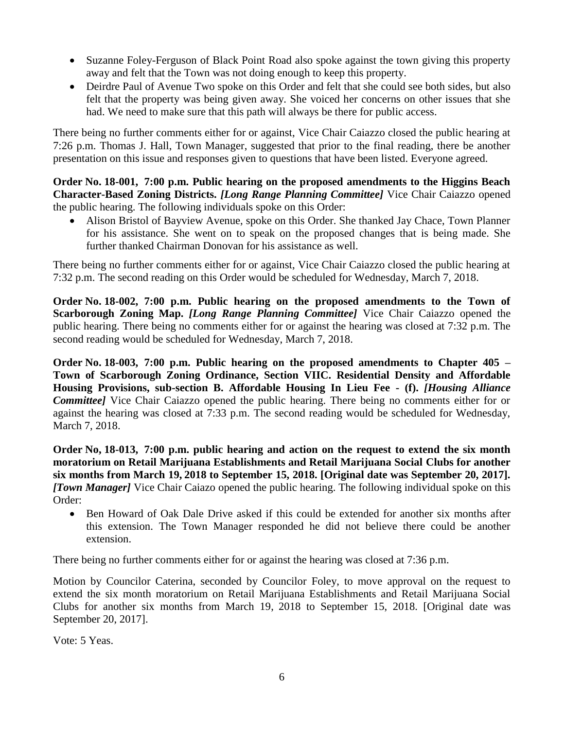- Suzanne Foley-Ferguson of Black Point Road also spoke against the town giving this property away and felt that the Town was not doing enough to keep this property.
- Deirdre Paul of Avenue Two spoke on this Order and felt that she could see both sides, but also felt that the property was being given away. She voiced her concerns on other issues that she had. We need to make sure that this path will always be there for public access.

There being no further comments either for or against, Vice Chair Caiazzo closed the public hearing at 7:26 p.m. Thomas J. Hall, Town Manager, suggested that prior to the final reading, there be another presentation on this issue and responses given to questions that have been listed. Everyone agreed.

## **Order No. 18-001, 7:00 p.m. Public hearing on the proposed amendments to the Higgins Beach Character-Based Zoning Districts.** *[Long Range Planning Committee]* Vice Chair Caiazzo opened the public hearing. The following individuals spoke on this Order:

 Alison Bristol of Bayview Avenue, spoke on this Order. She thanked Jay Chace, Town Planner for his assistance. She went on to speak on the proposed changes that is being made. She further thanked Chairman Donovan for his assistance as well.

There being no further comments either for or against, Vice Chair Caiazzo closed the public hearing at 7:32 p.m. The second reading on this Order would be scheduled for Wednesday, March 7, 2018.

**Order No. 18-002, 7:00 p.m. Public hearing on the proposed amendments to the Town of Scarborough Zoning Map.** *[Long Range Planning Committee]* Vice Chair Caiazzo opened the public hearing. There being no comments either for or against the hearing was closed at 7:32 p.m. The second reading would be scheduled for Wednesday, March 7, 2018.

**Order No. 18-003, 7:00 p.m. Public hearing on the proposed amendments to Chapter 405 – Town of Scarborough Zoning Ordinance, Section VIIC. Residential Density and Affordable Housing Provisions, sub-section B. Affordable Housing In Lieu Fee - (f).** *[Housing Alliance Committee]* Vice Chair Caiazzo opened the public hearing. There being no comments either for or against the hearing was closed at 7:33 p.m. The second reading would be scheduled for Wednesday, March 7, 2018.

**Order No, 18-013, 7:00 p.m. public hearing and action on the request to extend the six month moratorium on Retail Marijuana Establishments and Retail Marijuana Social Clubs for another six months from March 19, 2018 to September 15, 2018. [Original date was September 20, 2017].**  *[Town Manager]* Vice Chair Caiazo opened the public hearing. The following individual spoke on this Order:

 Ben Howard of Oak Dale Drive asked if this could be extended for another six months after this extension. The Town Manager responded he did not believe there could be another extension.

There being no further comments either for or against the hearing was closed at 7:36 p.m.

Motion by Councilor Caterina, seconded by Councilor Foley, to move approval on the request to extend the six month moratorium on Retail Marijuana Establishments and Retail Marijuana Social Clubs for another six months from March 19, 2018 to September 15, 2018. [Original date was September 20, 2017].

Vote: 5 Yeas.